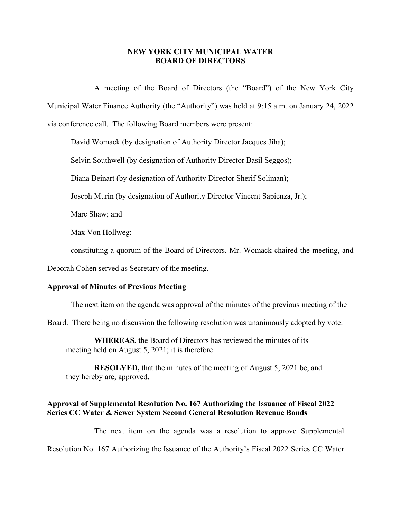### **NEW YORK CITY MUNICIPAL WATER BOARD OF DIRECTORS**

A meeting of the Board of Directors (the "Board") of the New York City Municipal Water Finance Authority (the "Authority") was held at 9:15 a.m. on January 24, 2022 via conference call. The following Board members were present:

David Womack (by designation of Authority Director Jacques Jiha);

Selvin Southwell (by designation of Authority Director Basil Seggos);

Diana Beinart (by designation of Authority Director Sherif Soliman);

Joseph Murin (by designation of Authority Director Vincent Sapienza, Jr.);

Marc Shaw; and

Max Von Hollweg;

constituting a quorum of the Board of Directors. Mr. Womack chaired the meeting, and

Deborah Cohen served as Secretary of the meeting.

### **Approval of Minutes of Previous Meeting**

The next item on the agenda was approval of the minutes of the previous meeting of the

Board. There being no discussion the following resolution was unanimously adopted by vote:

**WHEREAS,** the Board of Directors has reviewed the minutes of its meeting held on August 5, 2021; it is therefore

**RESOLVED,** that the minutes of the meeting of August 5, 2021 be, and they hereby are, approved.

## **Approval of Supplemental Resolution No. 167 Authorizing the Issuance of Fiscal 2022 Series CC Water & Sewer System Second General Resolution Revenue Bonds**

The next item on the agenda was a resolution to approve Supplemental Resolution No. 167 Authorizing the Issuance of the Authority's Fiscal 2022 Series CC Water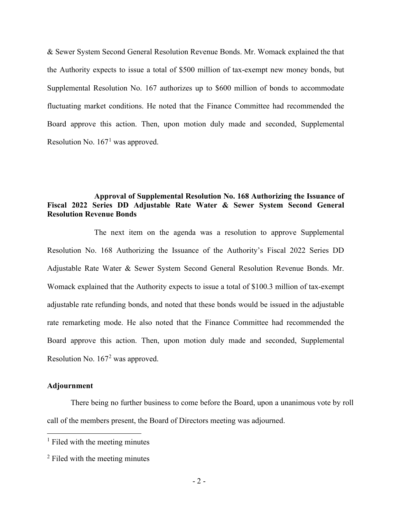& Sewer System Second General Resolution Revenue Bonds. Mr. Womack explained the that the Authority expects to issue a total of \$500 million of tax-exempt new money bonds, but Supplemental Resolution No. 167 authorizes up to \$600 million of bonds to accommodate fluctuating market conditions. He noted that the Finance Committee had recommended the Board approve this action. Then, upon motion duly made and seconded, Supplemental Resolution No.  $167<sup>1</sup>$  $167<sup>1</sup>$  was approved.

# **Approval of Supplemental Resolution No. 168 Authorizing the Issuance of Fiscal 2022 Series DD Adjustable Rate Water & Sewer System Second General Resolution Revenue Bonds**

The next item on the agenda was a resolution to approve Supplemental Resolution No. 168 Authorizing the Issuance of the Authority's Fiscal 2022 Series DD Adjustable Rate Water & Sewer System Second General Resolution Revenue Bonds. Mr. Womack explained that the Authority expects to issue a total of \$100.3 million of tax-exempt adjustable rate refunding bonds, and noted that these bonds would be issued in the adjustable rate remarketing mode. He also noted that the Finance Committee had recommended the Board approve this action. Then, upon motion duly made and seconded, Supplemental Resolution No. 167<sup>[2](#page-1-1)</sup> was approved.

### **Adjournment**

There being no further business to come before the Board, upon a unanimous vote by roll call of the members present, the Board of Directors meeting was adjourned.

<span id="page-1-0"></span> $<sup>1</sup>$  Filed with the meeting minutes</sup>

<span id="page-1-1"></span><sup>&</sup>lt;sup>2</sup> Filed with the meeting minutes